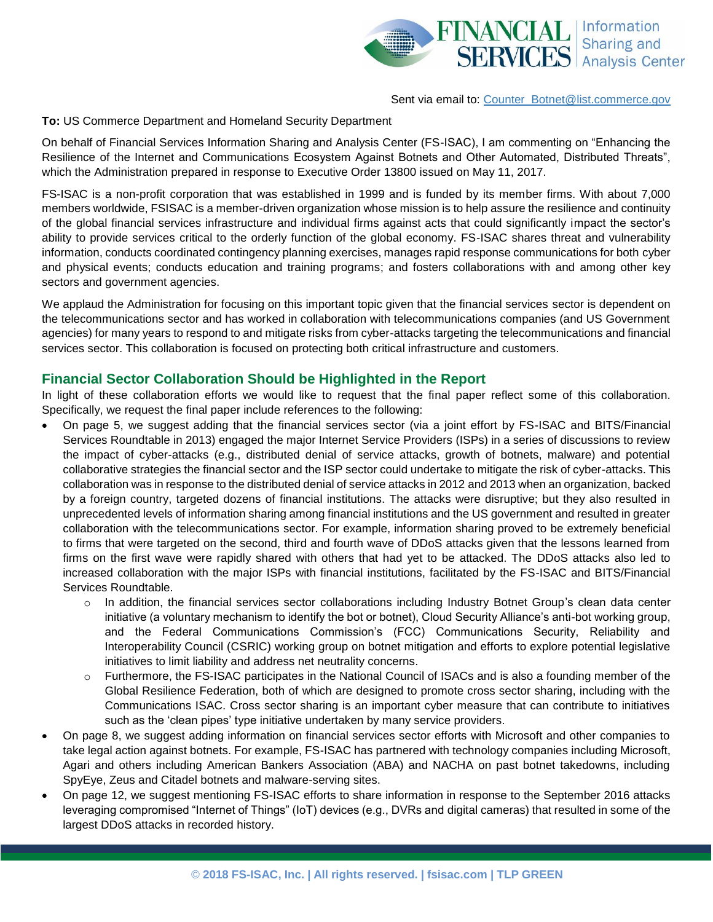

## Sent via email to: [Counter\\_Botnet@list.commerce.gov](mailto:%20Counter_Botnet@list.commerce.gov?Subject=Comments%20on%20Draft%20Report%20on%20Enhancing%20Resilience%20to%20Botnets)

## **To:** US Commerce Department and Homeland Security Department

On behalf of Financial Services Information Sharing and Analysis Center (FS-ISAC), I am commenting on "Enhancing the Resilience of the Internet and Communications Ecosystem Against Botnets and Other Automated, Distributed Threats", which the Administration prepared in response to Executive Order 13800 issued on May 11, 2017.

FS-ISAC is a non-profit corporation that was established in 1999 and is funded by its member firms. With about 7,000 members worldwide, FSISAC is a member-driven organization whose mission is to help assure the resilience and continuity of the global financial services infrastructure and individual firms against acts that could significantly impact the sector's ability to provide services critical to the orderly function of the global economy. FS-ISAC shares threat and vulnerability information, conducts coordinated contingency planning exercises, manages rapid response communications for both cyber and physical events; conducts education and training programs; and fosters collaborations with and among other key sectors and government agencies.

We applaud the Administration for focusing on this important topic given that the financial services sector is dependent on the telecommunications sector and has worked in collaboration with telecommunications companies (and US Government agencies) for many years to respond to and mitigate risks from cyber-attacks targeting the telecommunications and financial services sector. This collaboration is focused on protecting both critical infrastructure and customers.

## **Financial Sector Collaboration Should be Highlighted in the Report**

In light of these collaboration efforts we would like to request that the final paper reflect some of this collaboration. Specifically, we request the final paper include references to the following:

- On page 5, we suggest adding that the financial services sector (via a joint effort by FS-ISAC and BITS/Financial Services Roundtable in 2013) engaged the major Internet Service Providers (ISPs) in a series of discussions to review the impact of cyber-attacks (e.g., distributed denial of service attacks, growth of botnets, malware) and potential collaborative strategies the financial sector and the ISP sector could undertake to mitigate the risk of cyber-attacks. This collaboration was in response to the distributed denial of service attacks in 2012 and 2013 when an organization, backed by a foreign country, targeted dozens of financial institutions. The attacks were disruptive; but they also resulted in unprecedented levels of information sharing among financial institutions and the US government and resulted in greater collaboration with the telecommunications sector. For example, information sharing proved to be extremely beneficial to firms that were targeted on the second, third and fourth wave of DDoS attacks given that the lessons learned from firms on the first wave were rapidly shared with others that had yet to be attacked. The DDoS attacks also led to increased collaboration with the major ISPs with financial institutions, facilitated by the FS-ISAC and BITS/Financial Services Roundtable.
	- o In addition, the financial services sector collaborations including Industry Botnet Group's clean data center initiative (a voluntary mechanism to identify the bot or botnet), Cloud Security Alliance's anti-bot working group, and the Federal Communications Commission's (FCC) Communications Security, Reliability and Interoperability Council (CSRIC) working group on botnet mitigation and efforts to explore potential legislative initiatives to limit liability and address net neutrality concerns.
	- o Furthermore, the FS-ISAC participates in the National Council of ISACs and is also a founding member of the Global Resilience Federation, both of which are designed to promote cross sector sharing, including with the Communications ISAC. Cross sector sharing is an important cyber measure that can contribute to initiatives such as the 'clean pipes' type initiative undertaken by many service providers.
- On page 8, we suggest adding information on financial services sector efforts with Microsoft and other companies to take legal action against botnets. For example, FS-ISAC has partnered with technology companies including Microsoft, Agari and others including American Bankers Association (ABA) and NACHA on past botnet takedowns, including SpyEye, Zeus and Citadel botnets and malware-serving sites.
- On page 12, we suggest mentioning FS-ISAC efforts to share information in response to the September 2016 attacks leveraging compromised "Internet of Things" (IoT) devices (e.g., DVRs and digital cameras) that resulted in some of the largest DDoS attacks in recorded history.